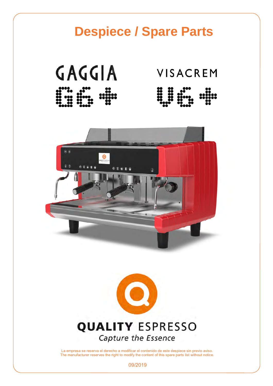# **Despiece / Spare Parts**  GAGGIA **VISACREM**  $\bullet$  $00$  $68996$  $080$  $\mathbf{E}$  $\sqrt{6}$  $\overline{\mathbf{C}}$ **QUALITY ESPRESSO** Capture the Essence

La empresa se reserva el derecho a modificar el contenido de este despiece sin previo aviso. The manufacturer reserves the right to modify the content of this spare parts list without notice.

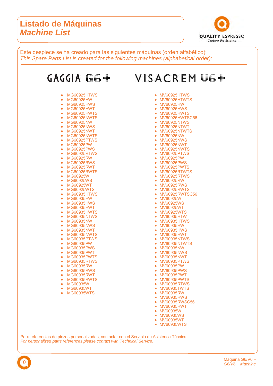#### **Listado de Máquinas**  *Machine List*



Este despiece se ha creado para las siguientes máquinas (orden alfabético): *This Spare Parts List is created for the following machines (alphabetical order)*:



Para referencias de piezas personalizadas, contactar con el Servicio de Asistenca Técnica. *For personalized parts references please contact with Technical Service.*

0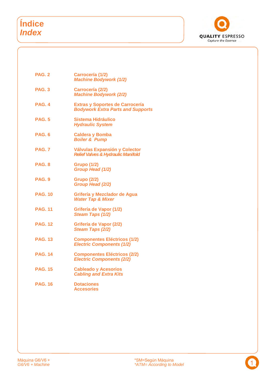# **Índice**  *Index*



| PAG. 2         | Carrocería (1/2)<br><b>Machine Bodywork (1/2)</b>                                  |
|----------------|------------------------------------------------------------------------------------|
| <b>PAG. 3</b>  | Carrocería (2/2)<br><b>Machine Bodywork (2/2)</b>                                  |
| <b>PAG. 4</b>  | <b>Extras y Soportes de Carrocería</b><br><b>Bodywork Extra Parts and Supports</b> |
| <b>PAG. 5</b>  | Sistema Hidráulico<br><b>Hydraulic System</b>                                      |
| <b>PAG. 6</b>  | <b>Caldera y Bomba</b><br><b>Boiler &amp; Pump</b>                                 |
| <b>PAG. 7</b>  | Válvulas Expansión y Colector<br><b>Relief Valves &amp; Hydraulic Manifold</b>     |
| <b>PAG. 8</b>  | <b>Grupo (1/2)</b><br>Group Head (1/2)                                             |
| <b>PAG. 9</b>  | <b>Grupo (2/2)</b><br>Group Head (2/2)                                             |
| <b>PAG. 10</b> | Grifería y Mezclador de Agua<br><b>Water Tap &amp; Mixer</b>                       |
| <b>PAG. 11</b> | Grifería de Vapor (1/2)<br>Steam Taps (1/2)                                        |
| <b>PAG. 12</b> | Grifería de Vapor (2/2)<br>Steam Taps (2/2)                                        |
| <b>PAG. 13</b> | <b>Componentes Eléctricos (1/2)</b><br><b>Electric Components (1/2)</b>            |
| <b>PAG. 14</b> | <b>Componentes Eléctricos (2/2)</b><br><b>Electric Components (2/2)</b>            |
| <b>PAG. 15</b> | <b>Cableado y Acesorios</b><br><b>Cabling and Extra Kits</b>                       |
| <b>PAG. 16</b> | <b>Dotaciones</b><br><b>Accesories</b>                                             |
|                |                                                                                    |

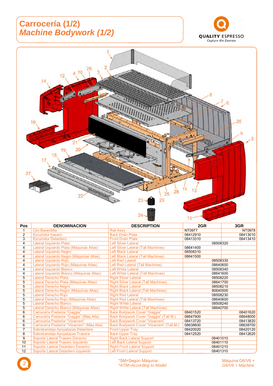# **Carrocería (1/2)**  *Machine Bodywork (1/2)*





| <b>Pos</b>     | <b>DENOMINACION</b>                        | <b>DESCRIPTION</b>                          | 2GR      | 3GR      |
|----------------|--------------------------------------------|---------------------------------------------|----------|----------|
| 1              | Cito Barandilla                            | <b>Rail Assv</b>                            | NT0977   | NT0978   |
| $\overline{2}$ | Escurridor trasero                         | <b>Back Drain Plate</b>                     | 08412910 | 08413010 |
| 3              | <b>Escurridor Delantero</b>                | <b>Front Drain Plate</b>                    | 08413310 | 08413410 |
| 4              | Lateral Izquierdo Plata                    | <b>Left Silver Lateral</b>                  | 08508320 |          |
| 4              | Lateral Izquierdo Plata (Máquinas Altas)   | Left Silver Lateral (Tall Machines)         | 08641400 |          |
| 4              | Lateral Izquierdo Negro                    | <b>Left Black Lateral</b>                   | 08508310 |          |
| $\overline{4}$ | Lateral Izquierdo Negro (Máquinas Altas)   | Left Black Lateral (Tall Machines)          | 08641500 |          |
| 4              | Lateral Izquierdo Rojo                     | <b>Left Red Lateral</b>                     | 08508330 |          |
| 4              | Lateral Izquierdo Rojo (Máquinas Altas)    | Left Red Lateral (Tall Machines)            | 08640600 |          |
| 4              | Lateral Izquierdo Blanco                   | <b>Left White Lateral</b>                   | 08508340 |          |
| 4              | Lateral Izquierdo Blanco (Máquinas Altas)  | Left White Lateral (Tall Machines)          | 08641600 |          |
| 5              | Lateral Derecho Plata                      | <b>Right Silver Lateral</b>                 | 08508220 |          |
| 5              | Lateral Derecho Plata (Máquinas Altas)     | <b>Right Silver Lateral (Tall Machines)</b> | 08641700 |          |
| 5              | Lateral Derecho Negro                      | <b>Right Black Lateral</b>                  | 08508210 |          |
| 5              | Lateral Derecho Negro (Máquinas Altas)     | <b>Right Black Lateral (Tall Machines)</b>  | 80640500 |          |
| 5              | Lateral Derecho Rojo                       | <b>Right Red Lateral</b>                    | 08508230 |          |
| 5              | Lateral Derecho Rojo (Máquinas Altas)      | <b>Right Red Lateral (Tall Machines)</b>    | 08640600 |          |
| $\overline{5}$ | Lateral Derecho Blanco                     | <b>Right White Lateral</b>                  | 08508240 |          |
| 5              | Lateral Derecho Blanco (Máquinas Altas)    | <b>Right White Lateral (Tall Machines)</b>  | 08640700 |          |
| 6              | Carrocería Posterior "Gaggia"              | Back Bodywork Cover "Gaggia"                | 08401520 | 08401620 |
| 6              | Carrocería Posterior "Gaggia" (Máq Alta)   | Back Bodywork Cover "Gaggia" (Tall M.)      | 08647900 | 08648000 |
| 6              | Carrocería Posterior "Visacrem"            | <b>Back Bodywork Cover "Visacrem"</b>       | 08413720 | 08413820 |
| 6              | Carrocería Posterior "Visacrem" (Mág Alta) | Back Bodywork Cover "Visacrem" (Tall M.)    | 08638600 | 08638700 |
| 7              | Sobrebandeja Apoyatazas Delantera          | <b>Front Upper Tray</b>                     | 08420020 | 08420120 |
| 8              | Sobrebandeja Apoyatazas Trasera            | <b>Back Upper Tray</b>                      | 08412520 | 08412620 |
| 9              | Soporte Lateral Trasero Derecho            | <b>Right Back Lateral Support</b>           | 08401010 |          |
| 10             | Soporte Lateral Trasero Izquierdo          | Left Back Lateral Support                   | 08401110 |          |
| 11             | Soporte Lateral Delantero Derecho          | <b>Right Front Lateral Support</b>          | 08401210 |          |
| 12             | Soporte Lateral Delantero Izquierdo        | <b>Left Front Lateral Support</b>           | 08401310 |          |

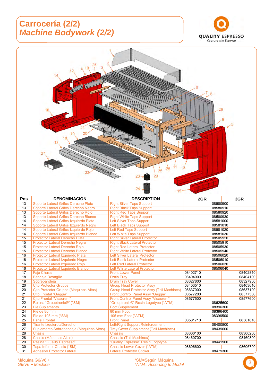### **Carrocería (2/2)**  *Machine Bodywork (2/2)*





| <b>POS</b> | <b>DENOMINACION</b>                      | <b>DESCRIPTION</b>                               | 2GR      | 3GR      |
|------------|------------------------------------------|--------------------------------------------------|----------|----------|
| 13         | Soporte Lateral Grifos Derecho Plata     | <b>Right Silver Taps Support</b>                 | 08580900 |          |
| 13         | Soporte Lateral Grifos Derecho Negro     | <b>Right Black Taps Support</b>                  | 08580910 |          |
| 13         | Soporte Lateral Grifos Derecho Rojo      | <b>Right Red Taps Support</b>                    | 08580920 |          |
| 13         | Soporte Lateral Grifos Derecho Blanco    | <b>Right White Taps Support</b>                  | 08580930 |          |
| 14         | Soporte Lateral Grifos Izquierdo Plata   | Left Silver Taps Support                         | 08581000 |          |
| 14         | Soporte Lateral Grifos Izquierdo Negro   | Left Black Taps Support                          | 08581010 |          |
| 14         | Soporte Lateral Grifos Izquierdo Rojo    | Left Red Taps Support                            | 08581020 |          |
| 14         | Soporte Lateral Grifos Izquierdo Blanco  | Left White Taps Support                          | 08581030 |          |
| 15         | <b>Protector Lateral Derecho Plata</b>   | <b>Right Silver Lateral Protector</b>            | 08505920 |          |
| 15         | Protector Lateral Derecho Negro          | <b>Right Black Lateral Protector</b>             | 08505910 |          |
| 15         | Protector Lateral Derecho Rojo           | <b>Right Red Lateral Protector</b>               | 08505930 |          |
| 15         | <b>Protector Lateral Derecho Blanco</b>  | <b>Right White Lateral Protector</b>             | 08505940 |          |
| 16         | Protector Lateral Izquierdo Plata        | Left Silver Lateral Protector                    | 08506020 |          |
| 16         | Protector Lateral Izquierdo Negro        | <b>Left Black Lateral Protector</b>              | 08506010 |          |
| 16         | Protector Lateral Izquierdo Rojo         | <b>Left Red Lateral Protector</b>                | 08506030 |          |
| 16         | Protector Lateral Izquierdo Blanco       | <b>Left White Lateral Protector</b>              | 08506040 |          |
| 17         | <b>Faja Chasis</b>                       | <b>Front Lower Panel</b>                         | 08402710 | 08402810 |
| 18         | <b>Bandeja Desagüe</b>                   | <b>Drain Tray</b>                                | 08404000 | 08404100 |
| 19         | Sobrebandeja                             | <b>Drain Tray Cover</b>                          | 08327800 | 08327900 |
| 20         | <b>Cito Protector Grupos</b>             | <b>Group Head Protector Assy</b>                 | 08403510 | 08403610 |
| 20         | Cito Protector Grupos (Máquinas Altas)   | <b>Group Head Protector Assy (Tall Machines)</b> | 08637000 | 08637100 |
| 21         | <b>Cito Frontal "Gaggia"</b>             | Front Control Panel Assy "Gaggia"                | 08577200 | 08577300 |
| 21         | <b>Cito Frontal "Visacrem"</b>           | Front Control Panel Assy "Visacrem"              | 08577500 | 08577600 |
| 22         | Resina "Grouptronic®" (*SM)              | "Grouptronic®" Resin Logotype (*ATM)             | 08625600 |          |
| 23         | <b>Pie Suplemento</b>                    | <b>Foot Supplement</b>                           | 08396300 |          |
| 24         | Pie de 80 mm                             | 80 mm Foot                                       | 08396400 |          |
| 24         | Pie de 105 mm (*SM)                      | 105 mm Foot (*ATM)                               | 08396500 |          |
| 25         | <b>Panel Frontal</b>                     | <b>Front Panel</b>                               | 08581710 | 08581810 |
| 26         | Tirante Izquierdo/Derecho                | Left/Right Support Reinforcement                 | 08400800 |          |
| 27         | Suplemento Sobrebandeja (Máquinas Altas) | <b>Tray Cover Supplement (Tall Machines)</b>     | 08439600 |          |
| 28         | <b>Chasis</b>                            | <b>Chassis</b>                                   | 08300100 | 08300200 |
| 28         | Chasis (Máquinas Altas)                  | <b>Chassis (Tall Machines)</b>                   | 08460700 | 08460800 |
| 29         | Resina "Quality Espresso"                | "Quality Espresso" Resin Logotype                | 08441900 |          |
| 30         | Tapa Inferior Chasis (*SM)               | <b>Chassis Lower Cover (*ATM)</b>                | 08606600 | 08606700 |
| 31         | <b>Adhesivo Protector Lateral</b>        | <b>Lateral Protector Sticker</b>                 | 08479300 |          |

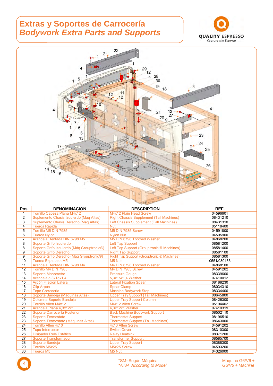#### **Extras y Soportes de Carrocería**  *Bodywork Extra Parts and Supports*





| Pos            | <b>DENOMINACION</b>                        | <b>DESCRIPTION</b>                                | REF.        |
|----------------|--------------------------------------------|---------------------------------------------------|-------------|
| 1              | Tornillo Cabeza Plana M4x12                | <b>M4x12 Plain Head Screw</b>                     | 04596601    |
| $\overline{2}$ | Suplemento Chasis Izquierdo (Máq Altas)    | <b>Right Chassis Supplement (Tall Machines)</b>   | 08431210    |
| 3              | Suplemento Chasis Derecho (Máq Altas)      | Left Chassis Supplement (Tall Machines)           | 08431310    |
| 4              | <b>Tuerca Rápida</b>                       | <b>Nut</b>                                        | 05118400    |
| 5              | Tornillo M5 DIN 7985                       | M5 DIN 7985 Screw                                 | 04591800    |
| 6              | <b>Tuerca Nylon</b>                        | <b>Nvlon Nut</b>                                  | 04595900    |
| $\overline{7}$ | Arandela Dentada DIN 6798 M5               | M5 DIN 6798 Toothed Washer                        | 04868200    |
| 8              | Soporte Grifo Izquierdo                    | Left Tap Support                                  | 08581200    |
| 8              | Soporte Grifo Izquierdo (Máq Grouptronic®) | Left Tap Support (Grouptronic ® Machines)         | 08581400    |
| 9              | Soporte Grifo Derecho                      | <b>Right Tap Support</b>                          | 08581100    |
| 9              | Soporte Grifo Derecho (Máq Grouptronic®)   | <b>Right Tap Support (Grouptronic ® Machines)</b> | 08581300    |
| 10             | Tuerca Enjaulada M5                        | M5 Nut                                            | 0551/030136 |
| 11             | Arandela Dentada DIN 6798 M4               | M4 DIN 6798 Toothed Washer                        | 04868100    |
| 12             | Tornillo M4 DIN 7985                       | M4 DIN 7985 Screw                                 | 04591202    |
| 13             | Soporte Manómetro                          | <b>Pressure Gauge</b>                             | 08339600    |
| 14             | Arandela 5,3x15x1,4                        | 5,3x15x1,4 Washer                                 | 07410012    |
| 15             | Arpón Fijación Lateral                     | <b>Lateral Fixation Spear</b>                     | 08188230    |
| 16             | Clip Arpón                                 | <b>Spear Clamp</b>                                | 08034310    |
| 17             | <b>Tope Carroceria</b>                     | <b>Machine Bodywork Stop</b>                      | 08334400    |
| 18             | Soporte Bandeja (Máquinas Altas)           | <b>Upper Tray Support (Tall Machines)</b>         | 08645800    |
| 19             | Columna Soporte Bandeja                    | <b>Upper Tray Support Column</b>                  | 08426300    |
| 20             | <b>Tornillo Allen M4x12</b>                | M4x12 Allen Screw                                 | 05194402    |
| 21             | Arandela Plana 4.3x12x1                    | 4,3x12x1 Washer                                   | 07410319    |
| 22             | Soporte Carrocería Posterior               | <b>Back Machine Bodywork Support</b>              | 08502110    |
| 23             | Soporte Termostato                         | <b>Thermostat Support</b>                         | 08196510    |
| 23             | Soporte Termostato (Máquinas Altas)        | <b>Thermostat Support (Tall Machines)</b>         | 08643000    |
| 24             | Tornillo Allen 4x10                        | 4x10 Allen Screw                                  | 04591202    |
| 25             | <b>Tapa Interruptor</b>                    | <b>Switch Cover</b>                               | 08310300    |
| 26             | Disipador Relé Estático                    | <b>Relay Heatsink</b>                             | 08371200    |
| 27             | Soporte Transformador                      | <b>Transformer Support</b>                        | 08585700    |
| 28             | Soporte Bandeja                            | <b>Upper Tray Support</b>                         | 08388300    |
| 29             | <b>Tornillo M5x25</b>                      | M5x25 Screw                                       | 04593200    |
| 30             | Tuerca M5                                  | M5 Nut                                            | 04326000    |

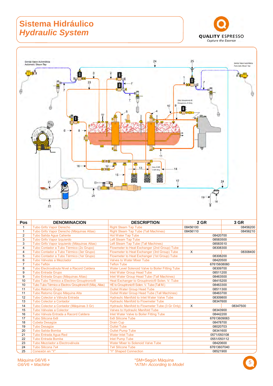# **Sistema Hidráulico**  *Hydraulic System*





| <b>Pos</b>     | <b>DENOMINACION</b>                                    | <b>DESCRIPTION</b>                                        | 2 GR        | 3 GR     |
|----------------|--------------------------------------------------------|-----------------------------------------------------------|-------------|----------|
| $\mathbf{1}$   | <b>Tubo Grifo Vapor Derecho</b>                        | <b>Right Steam Tap Tube</b>                               | 08456100    | 08456200 |
| $\mathbf{1}$   | Tubo Grifo Vapor Derecho (Máquinas Altas)              | <b>Right Steam Tap Tube (Tall Machines)</b>               | 08456110    | 08456210 |
| $\overline{2}$ | Tubo Salida Aqua Caliente                              | <b>Hot Water Tap Tube</b>                                 | 08420700    |          |
| 3              | Tubo Grifo Vapor Izquierdo                             | Left Steam Tap Tube                                       | 08583500    |          |
| 3              | Tubo Grifo Vapor Izquierdo (Máquinas Altas)            | Left Steam Tap Tube (Tall Machines)                       | 08583510    |          |
| $\overline{4}$ | Tubo Contador a Tubo Térmico (2o Grupo)                | Flowmeter to Heat Exchanger (2nd Group) Tube              | 08308300    |          |
| $\overline{4}$ | Tubo Contador a Tubo Térmico (3er Grupo)               | Flowmeter to Heat Exchanger (3rd Group) Tube              | $\times$    | 08308400 |
| 5              | Tubo Contador a Tubo Térmico (1er Grupo)               | Flowmeter to Heat Exchanger (1st Group) Tube              | 08308200    |          |
| 6              | Tubo Válvulas a Mezclador                              | Valves to Water Mixer Tube                                | 08420500    |          |
| $\overline{7}$ | Tubo Teflón                                            | <b>Teflon Tube</b>                                        | 67615608060 |          |
| 8              | Tubo Electroválvula Nivel a Racord Caldera             | Water Level Solenoid Valve to Boiler Fitting Tube         | 08309700    |          |
| 9              | <b>Tubo Entrada Grupo</b>                              | Inlet Water Group Head Tube                               | 08511200    |          |
| 9              | Tubo Entrada Grupo (Máquinas Altas)                    | Inlet Water Group Head Tube (Tall Machines)               | 08463500    |          |
| 10             | Tubo Tubo Térmico a Electrov Grouptronic®              | Heat Exchanger to Grouptronic <sup>®</sup> Solen. V. Tube | 08415200    |          |
| 10             | Tubo Tubo Térmico a Electrov Grouptronic® (Mág. Altas) | HE to Grouptronic® Solen. V. Tube (Tall M.)               | 08463300    |          |
| 11             | <b>Tubo Retorno Grupo</b>                              | <b>Outlet Water Group Head Tube</b>                       | 08511300    |          |
| 11             | Tubo Retorno Grupo Máquina Alta                        | <b>Outlet Water Group Head Tube (Tall Machines)</b>       | 08463700    |          |
| 12             | Tubo Colector a Válvula Entrada                        | <b>Hydraulic Manifold to Inlet Water Valve Tube</b>       | 08309800    |          |
| 13             | Tubo Colector a Contador                               | <b>Hydraulic Manifold to Flowmeter Tube</b>               | 08347600    |          |
| 14             | Tubo Colector a Contador (Máquinas 3 Gr)               | Hydraulic Manifold to Flowmeter Tube (3 Gr Only)          | X           | 08347500 |
| 15             | Tubo Válvulas a Colector                               | Valves to Hydraulic Manifold Tube                         | 08343900    |          |
| 16             | Tubo Válvula Entrada a Racord Caldera                  | Inlet Water Valve to Boiler Fitting Tube                  | 08442200    |          |
| 17             | Tubo Silicona 6x9                                      | 6x9 Silicone Tube                                         | 67613609063 |          |
| 18             | Cubeta Desagüe                                         | <b>Drain Cup</b>                                          | 08478700    |          |
| 19             | <b>Tubo Desaqüe</b>                                    | <b>Outlet Tube</b>                                        | 08020703    |          |
| 20             | Tubo Salida Bomba                                      | <b>Outlet Pump Tube</b>                                   | 08341600    |          |
| 21             | Tubo Entrada Agua Red                                  | <b>Water Inlet Tube</b>                                   | 0571/050108 |          |
| 22             | <b>Tubo Entrada Bomba</b>                              | <b>Inlet Pump Tube</b>                                    | 0551/050112 |          |
| 23             | Tubo Mezclador a Electroválvula                        | <b>Water Mixer to Solenoid Valve Tube</b>                 | 08420600    |          |
| 24             | Tubo Silicona 7x4                                      | <b>7x4 Silicone Tube</b>                                  | 67613607040 |          |
| 25             | Conexión en "Y"                                        | "Y" Shaped Connection                                     | 08521900    |          |

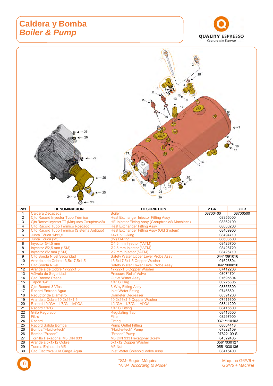#### **Caldera y Bomba**  *Boiler & Pump*





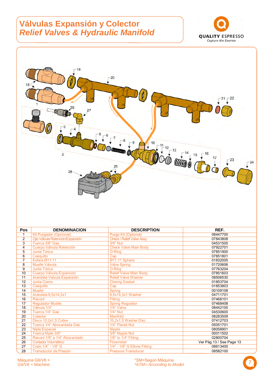#### **Válvulas Expansión y Colector**  *Relief Valves & Hydraulic Manifold*





| <b>Pos</b>      | <b>DENOMINACION</b>              | <b>DESCRIPTION</b>               | REF.                     |
|-----------------|----------------------------------|----------------------------------|--------------------------|
| 1               | <b>Kit Purgador (Opcional)</b>   | Purge Kit (Optional)             | 08447700                 |
| $\overline{2}$  | Cito Válvula Retención/Expansión | <b>Check / Relief Valve Assy</b> | 07843808                 |
| 3               | Tuerca 3/8" Gas                  | 3/8" Nut                         | 04531505                 |
| 4               | Cuerpo Válvula Retención         | <b>Check Valve Main Body</b>     | 07922701                 |
| 5               | Junta Tórica                     | O-Ring                           | 07851900                 |
| 6               | Casquillo                        | Cap                              | 07851801                 |
| 7               | Esfera Ø11,11                    | Ø11,11 Sphere                    | 01832005                 |
| 8               | Muelle Válvula                   | <b>Valve Spring</b>              | 01720606                 |
| 9               | Junta Tórica                     | O-Ring                           | 07763204                 |
| 10              | Cuerpo Válvula Expansión         | <b>Relief Valve Main Body</b>    | 07851603                 |
| 11              | Arandela Valvula Expansión       | <b>Relief Valve Washer</b>       | 08506530                 |
| $\overline{12}$ | <b>Junta Cierre</b>              | <b>Closing Gasket</b>            | 01853704                 |
| 13              | Casquillo                        | Cap                              | 01853803                 |
| 14              | <b>Muelle</b>                    | Spring                           | 00109108                 |
| 15              | Arandela 6,5x14,3x1              | 6,5x14,3x1 Washer                | 04711701                 |
| 16              | Racord                           | Fittina                          | 07468101                 |
| 17              | <b>Regulador Muelle</b>          | <b>Spring Regulator</b>          | 07468408                 |
| 18              | Válvula 1/4"                     | 1/4" Valve                       | 08442100                 |
| 19              | Tuerca 1/4" Gas                  | 1/4" Nut                         | 04530600                 |
| 20              | Colector                         | Manifold                         | 08283509                 |
| 21              | Disco 10,2x1,5 Cobre             | 10,2x1,5 Washer Disc             | 07412703                 |
| 22              | Tuerca 1/4" Abocardada Gas       | 1/4" Flared Nut                  | 05051701                 |
| 23              | <b>Niple Especial</b>            | <b>Nipple</b>                    | 08058901                 |
| 24              | Tuerca Niple 3/8"                | 3/8" Nipple Nut                  | 00011502                 |
| 25              | Racord 1/8" a 1/4" Abocardado    | 1/8" to 1/4" Fitting             | 02800704                 |
| 26              | <b>Contador Volumétrico</b>      | Flowmeter                        | Ver Pág 13 / See Page 13 |
| 27              | Codo 1/4" - 1/8" G               | 1/4" - 1/8" G Elbow Fitting      | 08613400                 |
| 28              | <b>Transductor de Presión</b>    | <b>Pressure Transducer</b>       | 08582100                 |

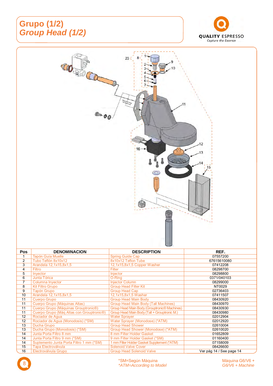# **Grupo (1/2)**  *Group Head (1/2)*





15 Tapa Electroválvula Solenoid Valve Cover 08426600



Suplemento Junta Porta Filtro 1 mm (\*SM)

14 Junta Porta Filtro 9 mm (\*SM) 9 mm Filter Holder Gasket (\*SM) 01160400<br>14 Suplemento Junta Porta Filtro 1 mm (\*SM) 1 mm Filter Holder Gasket Supplement (\*ATM) 07158009

Group Head Solenoid Valve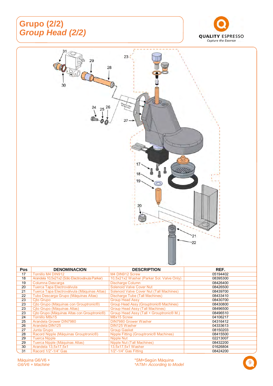# **Grupo (2/2)**  *Group Head (2/2)*





| <b>Pos</b> | <b>DENOMINACION</b>                                       | <b>DESCRIPTION</b>                                  | REF.     |
|------------|-----------------------------------------------------------|-----------------------------------------------------|----------|
| 17         | Tornillo M4 DIN912                                        | M4 DIN912 Screw                                     | 05194402 |
| 18         | Arandela 10,5x21x2 (Sólo Electroválvula Parker)           | 10,5x21x2 Washer (Parker Sol. Valve Only)           | 08395300 |
| 19         | Columna Descarga                                          | Discharge Column                                    | 08426400 |
| 20         | Tuerca Tapa Electroválvula                                | <b>Solenoid Valve Cover Nut</b>                     | 08426500 |
| 21         | Tuerca Tapa Electroválvula (Máquinas Altas)               | Solenoid Valve Cover Nut (Tall Machines)            | 08439700 |
| 22         | Tubo Descarga Grupo (Máquinas Altas)                      | Discharge Tube (Tall Machines)                      | 08433410 |
| 23         | Cito Grupo                                                | <b>Group Head Assy</b>                              | 08430700 |
| 23         | Cito Grupo (Máquinas con Grouptronic®)                    | Group Head Assy (Grouptronic <sup>®</sup> Machines) | 08430800 |
| 23         | Cito Grupo (Máquinas Altas)                               | <b>Group Head Assy (Tall Machines)</b>              | 08496500 |
| 23         | Cjto Grupo (Máquinas Altas con Grouptronic <sup>®</sup> ) | Group Head Assy (Tall + Grouptronic® M.)            | 08496510 |
| 24         | Tornillo M8x15                                            | M8x15 Screw                                         | 04106217 |
| 25         | <b>Arandela Grower DIN7980</b>                            | <b>DIN7980 Grower Washer</b>                        | 04316412 |
| 26         | Arandela DIN125                                           | DIN125 Washer                                       | 04333613 |
| 27         | Junta Grupo                                               | <b>Group Gasket</b>                                 | 08150203 |
| 28         | Racord Nipple (Máquinas Grouptronic®)                     | Nipple Fitting (Grouptronic® Machines)              | 08415500 |
| 29         | <b>Tuerca Nipple</b>                                      | Nipple Nut                                          | 02213007 |
| 29         | Tuerca Nipple (Máquinas Altas)                            | Nipple Nut (Tall Machines)                          | 08432200 |
| 30         | Arandela 13,5x17,5x1                                      | 13,5x17,5x1 Washer                                  | 01626804 |
| 31         | Racord 1/2"-1/4" Gas                                      | 1/2"-1/4" Gas Fitting                               | 08424200 |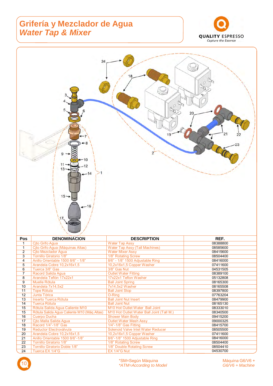#### **Grifería y Mezclador de Agua** *Water Tap & Mixer*





18 Racord 1/4"-1/8" Gas 1/4"-1/8" Gas Fitting 18 Racord 1/4"-1/8" Gas Fitting 19 08415700<br>19 Reductor Electroválvula Solenoid Valve Inlet Water Reducer 19 08505500 19 Reductor Electroválvula Solenoid Valve Inlet Water Reducer 08505500<br>
20 Arandela Cobre 10,2x16x1,5 10,2x16x1,5 Copper Washer 07411600 20 Arandela Cobre 10,2x16x1,5 10,2x16x1,5 Copper Washer 07411600<br>21 Anillo Orientable 1500 8/6"-1/8" 8/6"-1/8" 1500 Adjustable Ring 08416000 21 Anillo Orientable 1500 8/6"-1/8" 8/6"-1/8" 1500 Adjustable Ring 08416000<br>22 Tornillo Giratorio 1/8" 1/8" Rotating Screw 08504400 22 Tornillo Giratorio 1/8" 1/8" Rotating Screw 08504400 23 Tornillo Giratorio Doble 1/8" 1/8" Double Rotating Screw 198504410<br>24 Tuerca EX 1/4"G EX 1/4"G Nut 1/8" Double Rotating Screw 1995030700

Tuerca EX 1/4"G

\*SM=Según Máquina<br>
\*ATM=According to Model Machine *\*ATM=According to Model G6/V6 + Machine* 10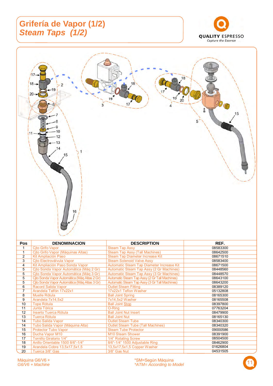# **Grifería de Vapor (1/2)**  *Steam Taps (1/2)*





|                | <b>URD OTHO VAPOR</b>                        | Olean Tap ASSY                                | <u>vooooov</u> |
|----------------|----------------------------------------------|-----------------------------------------------|----------------|
|                | Cito Grifo Vapor (Máquinas Altas)            | <b>Steam Tap Assy (Tall Machines)</b>         | 08642500       |
| $\overline{2}$ | Kit Ampliación Paso                          | <b>Steam Tap Diameter Increase Kit</b>        | 08671510       |
| 3              | Cjto Electroválvula Vapor                    | <b>Steam Solenoid Valve Assy</b>              | 08583400       |
| 4              | Kit Ampliación Paso Sonda Vapor              | Automatic Steam Tap Diameter Increase Kit     | 08671500       |
| 5              | Cito Sonda Vapor Automática (Máq 2 Gr)       | Automatic Steam Tap Assy (2 Gr Machines)      | 08448560       |
| 5              | Cito Sonda Vapor Automática (Mág 3 Gr)       | Automatic Steam Tap Assy (3 Gr Machines)      | 08448570       |
| 5              | Cito Sonda Vapor Automática (Mág Altas 2 Gr) | Automatic Steam Tap Assy (2 Gr Tall Machines) | 08643100       |
| 5              | Cito Sonda Vapor Automática (Máq Altas 3 Gr) | Automatic Steam Tap Assy (3 Gr Tall Machines) | 08643200       |
| 6              | Racord Salida Vapor                          | <b>Outlet Steam Fitting</b>                   | 08389120       |
| 7              | Arandela Telfón 17x22x1                      | 17x22x1 Teflon Washer                         | 05132808       |
| 8              | Muelle Rótula                                | <b>Ball Joint Spring</b>                      | 08165300       |
| 9              | Arandela 7x14,5x2                            | 7x14,5x2 Washer                               | 08165508       |
| 10             | <b>Tope Rótula</b>                           | <b>Ball Joint Stop</b>                        | 08397800       |
| 11             | Junta Tórica                                 | O-Rina                                        | 07763204       |
| 12             | Inserto Tuerca Rótula                        | <b>Ball Joint Nut Insert</b>                  | 08479900       |
| 13             | <b>Tuerca Rótula</b>                         | <b>Ball Joint Nut</b>                         | 08165130       |
| 14             | <b>Tubo Salida Vapor</b>                     | <b>Outlet Steam Tube</b>                      | 08340300       |
| 14             | Tubo Salida Vapor (Máquina Alta)             | <b>Outlet Steam Tube (Tall Machines)</b>      | 08340320       |
| 15             | <b>Protector Tubo Vapor</b>                  | <b>Steam Tube Protector</b>                   | 09000586       |
| 16             | Ducha Vapor M10                              | M10 Steam Shower                              | 08391900       |
| 17             | <b>Tornillo Giratorio 1/4"</b>               | 1/4" Rotating Screw                           | 08504500       |
| 18             | Anillo Orientable 1500 8/6"-1/4"             | 8/6"-1/4" 1500 Adjustable Ring                | 08462900       |
| 19             | Arandela Cobre 13,5x17,5x1,5                 | 13,5x17,5x1,5 Copper Washer                   | 01626804       |
| 20             | Tuerca 3/8" Gas                              | 3/8" Gas Nut                                  | 04531505       |
|                |                                              |                                               |                |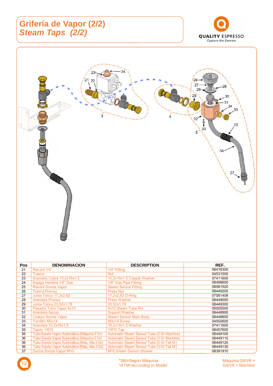# **Grifería de Vapor (2/2)**  *Steam Taps (2/2)*





| <b>Pos</b> | <b>DENOMINACION</b>                          | <b>DESCRIPTION</b>                         | REF.     |
|------------|----------------------------------------------|--------------------------------------------|----------|
| 21         | Racord 1/4"                                  | 1/4" Fitting                               | 08416300 |
| 22         | <b>Tuerca</b>                                | <b>Nut</b>                                 | 04531505 |
| 23         | Arandela Cobre 10,2x16x1,5                   | 10,2x16x1,5 Copper Washer                  | 07411600 |
| 24         | Espiga Hembra 1/8" Gas                       | 1/8" Gas Pipe Fitting                      | 08498600 |
| 25         | <b>Racord Sonda Vapor</b>                    | <b>Steam Sensor Fitting</b>                | 08581520 |
| 26         | <b>Tuerca Prensa</b>                         | <b>Press Nut</b>                           | 08449200 |
| 27         | Junta Tórica 17,2x2,62                       | 17,2x2,62 O-Ring                           | 07581408 |
| 28         | Arandela Prensa                              | <b>Press Washer</b>                        | 08449000 |
| 29         | Junta Tórica 23,52x1,78                      | 23,52x1,78                                 | 08449300 |
| 30         | Pasador Tubo Vapor 4x10                      | 4x10 Steam Tube Pin                        | 05005500 |
| 31         | Arandela Apoyo                               | <b>Support Washer</b>                      | 08448900 |
| 32         | <b>Cuerpo Sonda Vapor</b>                    | <b>Steam Sensor Main Body</b>              | 08448600 |
| 33         | Tornilllo M3x14                              | M3x14 Screw                                | 04550600 |
| 34         | Arandela 10,2x16x1,5                         | 10,2x16x1,5 Washer                         | 07411600 |
| 35         | Tapón 1/8"G                                  | $1/8$ "G Tap                               | 08457600 |
| 36         | Tubo Sonda Vapor Automática (Máquina 2 Gr)   | Automatic Steam Sensor Tube (2 Gr Machine) | 08449100 |
| 36         | Tubo Sonda Vapor Automática (Máquina 3 Gr)   | Automatic Steam Sensor Tube (3 Gr Machine) | 08449110 |
| 36         | Tubo Sonda Vapor Automática (Mág. Alta 2 Gr) | Automatic Steam Sensor Tube (2 Gr Tall M.) | 08449120 |
| 36         | Tubo Sonda Vapor Automática (Máq. Alta 3 Gr) | Automatic Steam Sensor Tube (3 Gr Tall M.) | 08449130 |
| 37         | Ducha Sonda Vapor M10                        | <b>M10 Steam Sensor Shower</b>             | 08391910 |

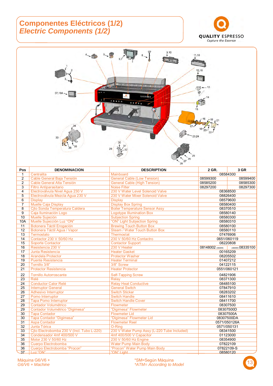#### **Componentes Eléctricos (1/2)**  *Electric Components (1/2)*





| Pos             | <b>DENOMINACION</b>                        | <b>DESCRIPTION</b>                          | 2 GR.            | 3 GR             |
|-----------------|--------------------------------------------|---------------------------------------------|------------------|------------------|
| $\mathbf{1}$    | Centralita                                 | Mainboard                                   |                  | 08584300         |
| $\overline{2}$  | Cable General Baja Tensión                 | <b>General Cable (Low Tension)</b>          | 08599300         | 08599400         |
| 2               | Cable General Alta Tensión                 | <b>General Cable (High Tension)</b>         | 08585200         | 08585300         |
| 3               | <b>Filtro Antiparasitario</b>              | <b>Noise Filter</b>                         | 08297200         | 08297300         |
| $\overline{4}$  | Electroválvula Nivel Agua 230 V            | 230 V Water Level Solenoid Valve            |                  | 08368500         |
| $\overline{5}$  | Electroválvula Mezcla Agua 230 V           | 230 V Water Mixer Solenoid Valve            |                  | 08826400         |
| 6               | <b>Display</b>                             | <b>Display</b>                              |                  | 08579600         |
| $\overline{7}$  | Muelle Caja Display                        | <b>Display Box Spring</b>                   |                  | 08580400         |
| 8               | Cito Sonda Temperatura Caldera             | <b>Boiler Temperature Sensor Assy</b>       |                  | 08370510         |
| 9               | Caja Iluminación Logo                      | <b>Logotype Illumination Box</b>            |                  | 08580140         |
| 10              | Muelle Sujeción                            | <b>Subjection Spring</b>                    |                  | 08580300         |
| 10A             | Muelle Sujección Luz "ON"                  | "ON" Light Subjection Spring                |                  | 08580310         |
| 11              | Botonera Táctil Erogación                  | <b>Brewing Touch Button Box</b>             |                  | 08580100         |
| 12              | Botonera Táctil Agua / Vapor               | <b>Steam / Water Touch Button Box</b>       |                  | 08580110         |
| $\overline{13}$ | Termostato                                 | Thermostat                                  |                  | 07476906         |
| 14              | Contactor 230 V 50/60 Hz                   | 230 V 50/60 Hz Contactro                    |                  | 0651/060119      |
| 15              | <b>Soporte Contactor</b>                   | <b>Contactor Support</b>                    |                  | 08220808         |
| 16              | Resistencia 230 V                          | 230 V Heater                                | 08148002 (3500W) | (4600W) 08335100 |
| 17              | Junta Resistencia                          | <b>Heater Gasket</b>                        |                  | 00165209         |
| 18              | <b>Arandela Protector</b>                  | <b>Protector Washer</b>                     |                  | 08205502         |
| 19              | <b>Puente Resistencia</b>                  | <b>Heater Terminal</b>                      |                  | 01407212         |
| $\overline{20}$ | Tornillo 3/8"                              | 3/8" Screw                                  |                  | 04122115         |
| 21              | <b>Protector Resistencia</b>               | <b>Heater Protector</b>                     | 0551/060121      |                  |
| 22              | <b>Tornillo Autorroscante</b>              | <b>Self-Tapping Screw</b>                   |                  | 04821906         |
| $\overline{23}$ | Relé                                       | <b>Relay</b>                                |                  | 08371300         |
| $\overline{24}$ | <b>Conductor Calor Relé</b>                | <b>Relay Heat Conductive</b>                |                  | 08485100         |
| $\overline{25}$ | <b>Interruptor General</b>                 | <b>General Switch</b>                       |                  | 07847910         |
| 26              | Adhesivo Interruptor                       | Switch Sticker                              |                  | 08283202         |
| $\overline{27}$ | Pomo Interruptor                           | <b>Switch Handle</b>                        |                  | 08411610         |
| 28              | <b>Tapa Pomo Interruptor</b>               | <b>Switch Handle Cover</b>                  |                  | 08411700         |
| 29              | <b>Contador Volumétrico</b>                | Flowmeter                                   |                  | 08307500         |
| $\overline{29}$ | Contador Volumétrico "Digimesa"            | "Digimesa" Flowmeter                        |                  | 08307500D        |
| 30              | <b>Tapa Contador</b>                       | <b>Flowmeter Lid</b>                        |                  | 08307500A        |
| 30              | Tapa Contador "Digimesa"                   | "Digimesa" Flowmeter Lid                    |                  | 08307500DA       |
| 31              | <b>Aspa Contador</b>                       | <b>Flowmeter Reel</b>                       |                  | 0571/050126A     |
| 32              | Junta Tórica                               | O-Ring                                      |                  | 0571/050131      |
| 33              | Cito Electrobomba 230 V (Incl. Tubo L-220) | 230 V Water Pump Assy (L-220 Tube Included) |                  | 08341500         |
| 34              | Condensador 4mf 400/500 V                  | 4mf 400/500 V Capacitor                     |                  | 01123000         |
| 35              | Motor 230 V 50/60 Hz                       | 230 V 50/60 Hz Engine                       |                  | 08354900         |
| 36              | Cuerpo Electrobomba                        | Water Pump Main Body                        |                  | 07822109         |
| 36              | Cuerpo Electrobomba "Procon"               | "Procon" Water Pump Main Body               |                  | 07822109-S       |
| 37              | Luz "ON"                                   | "ON" Light                                  |                  | 08580120         |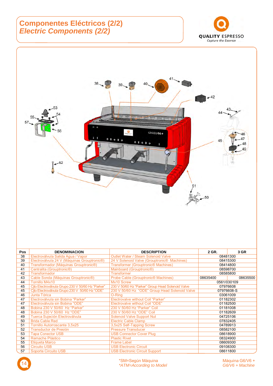#### **Componentes Eléctricos (2/2)**  *Electric Components (2/2)*





| Pos | <b>DENOMINACION</b>                                      | <b>DESCRIPTION</b>                                      | 2 GR.       | 3 GR       |
|-----|----------------------------------------------------------|---------------------------------------------------------|-------------|------------|
| 38  | Electroválvula Salida Aqua / Vapor                       | Outlet Water / Steam Solenoid Valve                     | 08481300    |            |
| 39  | Electroválvula 24 V (Máquinas Grouptronic <sup>®</sup> ) | 24 V Solenoid Valve (Grouptronic <sup>®</sup> Machines) |             | 08415300   |
| 40  | Transformador (Máquinas Grouptronic®)                    | Transformer (Grouptronic <sup>®</sup> Machines)         |             | 08414800   |
| 41  | Centralita (Grouptronic®)                                | Mainboard (Grouptronic <sup>®</sup> )                   |             | 08598700   |
| 42  | Transformador                                            | <b>Transformer</b>                                      |             | 08585800   |
| 43  | Cable Sonda (Máquinas Grouptronic®)                      | Probe Cable (Grouptronic® Machines)                     | 08635400    | 08635500   |
| 44  | Tornillo M4x10                                           | Mx10 Screw                                              | 0561/030109 |            |
| 45  | Cito Electroválvula Grupo 230 V 50/60 Hz "Parker"        | 230 V 50/60 Hz "Parker" Group Head Solenoid Valve       |             | 07976608   |
| 45  | Cito Electroválvula Grupo 230 V 50/60 Hz "ODE"           | 230 V 50/60 Hz "ODE" Group Head Solenoid Valve          |             | 07976608-S |
| 46  | <b>Junta Tórica</b>                                      | O-Ring                                                  |             | 03061009   |
| 47  | Electroválvula sin Bobina "Parker"                       | Electrovalve without Coil "Parker"                      |             | 01182302   |
| 47  | Electroválvula sin Bobina "ODE"                          | Electrovalve without Coil "ODE"                         |             | 01182500   |
| 48  | Bobina 230 V 50/60 Hz "Parker"                           | 230 V 50/60 Hz "Parker" Coil                            |             | 01181008   |
| 48  | Bobina 230 V 50/60 Hz "ODE"                              | 230 V 50/60 Hz "ODE" Coil                               | 01182609    |            |
| 49  | Tuerca Sujeción Electroválvula                           | <b>Solenoid Valve Support Nut</b>                       |             | 04725106   |
| 50  | <b>Brida Cable Red</b>                                   | <b>Electric Cable Clamp</b>                             |             | 07832405   |
| 51  | <b>Tornillo Autorroscante 3.5x25</b>                     | 3,5x25 Self-Tapping Screw                               |             | 04789913   |
| 52  | Transductor de Presión                                   | <b>Pressure Transducer</b>                              |             | 08582100   |
| 53  | <b>Tapa Conector USB</b>                                 | <b>USB Connector Cover Plug</b>                         |             | 08618900   |
| 54  | Remache Plástico                                         | <b>Plastic Rivet</b>                                    |             | 08324900   |
| 55  | <b>Etiqueta Marco</b>                                    | <b>Frame Label</b>                                      |             | 08609300   |
| 56  | <b>Circuito USB</b>                                      | <b>USB Electronic Circuit</b>                           |             | 09108300   |
| 57  | <b>Soporte Circuito USB</b>                              | <b>USB Electronic Circuit Support</b>                   |             | 08611800   |

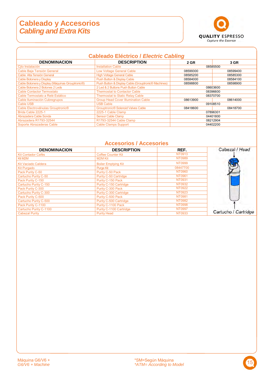#### **Cableado y Accesorios**  *Cabling and Extra Kits*



|                                                               | <b>Cableado Eléctrico / Electric Cabling</b>        |             |          |
|---------------------------------------------------------------|-----------------------------------------------------|-------------|----------|
| <b>DENOMINACION</b>                                           | <b>DESCRIPTION</b>                                  | <b>2 GR</b> | 3 GR     |
| Cito Instalación                                              | <b>Installation Cable</b>                           |             | 08585500 |
| Cable Baja Tensión General                                    | <b>Low Voltage General Cable</b>                    | 08599300    | 08599400 |
| Cable Alta Tensión General                                    | <b>High Voltage General Cable</b>                   | 08585200    | 08585300 |
| Cable Botonera y Display                                      | <b>Push Button &amp; Display Cable</b>              | 08584000    | 08584100 |
| Cable Botonera y Display (Máquinas Grouptronic <sup>®</sup> ) | Push Button & Display Cable (Grouptronic® Machines) | 08598800    | 08598900 |
| Cable Botonera 2 Botones 2 Leds                               | 2 Led & 2 Buttons Push Button Cable                 | 08603600    |          |
| <b>Cable Contactor Termostato</b>                             | <b>Thermostat to Contactor Cable</b>                | 08396600    |          |
| Cable Termostato a Relé Estático                              | <b>Thermostat to Static Relay Cable</b>             |             | 08370700 |
| Cable Iluminación Cubregrupos                                 | <b>Group Head Cover Illumination Cable</b>          | 08613900    | 08614000 |
| Cable USB                                                     | <b>USB Cable</b>                                    |             | 09108510 |
| Cable Electroválvulas Grouptronic®                            | <b>Grouptronic® Solenoid Valves Cable</b>           | 08418600    | 08418700 |
| Brida Cable 2225-1                                            | 2225-1 Cable Clamp                                  |             | 07896301 |
| Abrazadera Cable Sonda                                        | Sensor Cable Clamp                                  | 04401800    |          |
| Abrazadera R1793-32544                                        | R1793-32544 Cable Clamp                             | 08212904    |          |
| Soporte Abrazaderas Cable                                     | <b>Cable Clamps Support</b>                         | 04402200    |          |

#### **Accesorios / Accesories**

| <b>DENOMINACION</b>        | <b>DESCRIPTION</b>         | REF.          | Cabezal / Head       |
|----------------------------|----------------------------|---------------|----------------------|
| <b>Kit Contador Cafés</b>  | <b>Coffee Counter Kit</b>  | NT0913        |                      |
| Kit M2M                    | M2M Kit                    | NT0989        |                      |
| <b>Kit Vaciado Caldera</b> | <b>Boiler Emptying Kit</b> | NT0999        |                      |
| <b>Kit Purgado</b>         | <b>Purge Kit</b>           | 08447700      |                      |
| Pack Purity C-50           | Purity C-50 Pack           | NT0960        |                      |
| Cartucho Purity C-50       | Purity C-50 Cartridge      | NT0961        |                      |
| Pack Purity C-150          | Purity C-150 Pack          | NT0931        |                      |
| Cartucho Purity C-150      | Purity C-150 Cartridge     | NT0932        |                      |
| Pack Purity C-300          | Purity C-300 Pack          | NT0922        |                      |
| Cartucho Purity C-300      | Purity C-300 Cartridge     | NT0923        |                      |
| Pack Purity C-500          | Purity C-500 Pack          | <b>NT0981</b> |                      |
| Cartucho Purity C-500      | Purity C-500 Cartridge     | <b>NT0982</b> |                      |
| Pack Purity C-1100         | Purity C-1100 Pack         | NT0998        |                      |
| Cartucho Purity C-1100     | Purity C-1100 Cartridge    | <b>NT0997</b> |                      |
| <b>Cabezal Purity</b>      | <b>Purity Head</b>         | NT0933        | Cartucho / Cartridge |

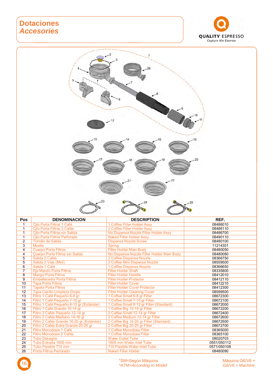#### **Dotaciones**  *Accesories*





| Pos            | <b>DENOMINACION</b>                       | <b>DESCRIPTION</b>                         | REF.        |
|----------------|-------------------------------------------|--------------------------------------------|-------------|
| 1              | Cito Porta Filtros 1 Café                 | 1 Coffee Filter Holder Assv                | 08486010    |
| $\mathbf{1}$   | Cito Porta Filtros 2 Cafés                | 2 Coffee Filter Holder Assy                | 08486110    |
| $\mathbf{1}$   | Cito Porta Filtros sin Salida             | No Dispense Nozzle Filter Holder Assy      | 08486700    |
| $\mathbf{1}$   | Cito Porta Filtros Perforado              | <b>Naked Filter Holder Assy</b>            | 08490110    |
| $\overline{2}$ | Tornillo de Salida                        | <b>Dispense Nozzle Screw</b>               | 08480100    |
| $\overline{3}$ | <b>Muelle</b>                             | <b>Spring</b>                              | 11214301    |
| $\overline{4}$ | <b>Cuerpo Porta Filtros</b>               | <b>Filter Holder Main Body</b>             | 08480050    |
| 4              | Cuerpo Porta Filtros sin Salida           | No Dispense Nozzle Filter Holder Main Body | 08480080    |
| 5              | Salida 2 Cafés                            | 2 Coffee Dispense Nozzle                   | 08366750    |
| 5              | Salida 2 Vías (Mini)                      | 2 Coffee Mini Dispense Nozzle              | 08559500    |
| $\overline{6}$ | Salida 1 Café                             | 1 Coffee Dispense Nozzle                   | 08366650    |
| $\overline{7}$ | Eje Mando Porta Filtros                   | <b>Filter Holder Shaft</b>                 | 08335800    |
| $\overline{8}$ | <b>Mango Porta Filtros</b>                | <b>Filter Holder Handle</b>                | 08412010    |
| 9              | <b>Embellecedor Porta Filtros</b>         | <b>Filter Hodler Protector</b>             | 08412110    |
| 10             | <b>Tapa Porta Filtros</b>                 | <b>Filter Holder Cover</b>                 | 08412210    |
| 11             | <b>Tapeta Porta Filtros</b>               | <b>Filter Holder Cover Protector</b>       | 08412300    |
| 12             | Tapa Cacillo Limpieza Grupo               | <b>Filter Holder Cleaning Cover</b>        | 08599500    |
| 13             | Filtro 1 Café Pequeño 6-8 gr              | 1 Coffee Small 6-8 gr Filter               | 08672300    |
| 14             | Filtro 1 Café Pequeño 7-10 gr             | 1 Coffee Small 7-10 gr Filter              | 08672100    |
| 15             | Filtro 1 Café Pequeño 8-12 gr (Estándar)  | 1 Coffee Small 8-12 gr Filter (Standard)   | 08672000    |
| 16             | Filtro 1 Café Grande 10-14 gr             | 1 Coffee Big 10-14 gr Filter               | 08672200    |
| 17             | Filtro 2 Cafés Pequeño 12-14 gr           | 2 Coffee Small 12-14 gr Filter             | 08672400    |
| 18             | Filtro 2 Cafés Mediano 14-16 gr           | 2 Coffee Medium 12-14 gr Filter            | 08672600    |
| 19             | Filtro 2 Cafés Grande 16-20 gr (Estándar) | 2 Coffee Big 16-20 gr Filter (Standard)    | 08672500    |
| 20             | Filtro 2 Cafés Extra Grande 20-25 gr      | 2 Coffee Big 20-25 gr Filter               | 08672700    |
| 21             | Filtro Monodosis 1 Café                   | 1 Coffee Monodose Filter                   | 08365000    |
| 22             | Filtro Monodosis 2 Cafés                  | 1 Coffee Monodose Filter                   | 08365100    |
| 23             | <b>Tubo Desagüe</b>                       | <b>Water Outlet Tube</b>                   | 08020703    |
| 24             | Tubo Entrada 1600 mm                      | 1600 mm Water Inlet Tube                   | 0551/050112 |
| 25             | Tubo Flexible 710 mm                      | 710 Flexible Water Inlet Tube              | 0571/050108 |
| 26             | Porta Filtros Perforado                   | <b>Naked Filter Holder</b>                 | 08480090    |